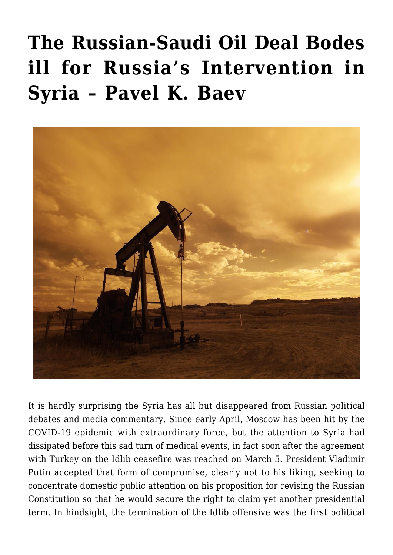## **[The Russian-Saudi Oil Deal Bodes](https://www.uikpanorama.com/blog/2020/04/30/the-russian-saudi-oil-deal-bodes-ill-for-russias-intervention-in-syria/) [ill for Russia's Intervention in](https://www.uikpanorama.com/blog/2020/04/30/the-russian-saudi-oil-deal-bodes-ill-for-russias-intervention-in-syria/) [Syria – Pavel K. Baev](https://www.uikpanorama.com/blog/2020/04/30/the-russian-saudi-oil-deal-bodes-ill-for-russias-intervention-in-syria/)**



It is hardly surprising the Syria has all but disappeared from Russian political debates and media commentary. Since early April, Moscow has been hit by the COVID-19 epidemic with extraordinary force, but the attention to Syria had dissipated before this sad turn of medical events, in fact soon after the agreement with Turkey on the Idlib ceasefire was reached on March 5. President Vladimir Putin accepted that form of compromise, clearly not to his liking, seeking to concentrate domestic public attention on his proposition for revising the Russian Constitution so that he would secure the right to claim yet another presidential term. In hindsight, the termination of the Idlib offensive was the first political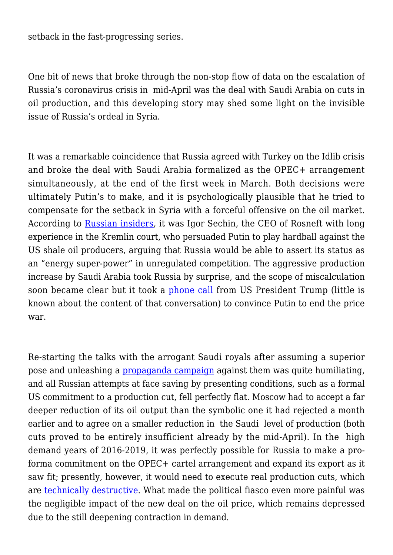setback in the fast-progressing series.

One bit of news that broke through the non-stop flow of data on the escalation of Russia's coronavirus crisis in mid-April was the deal with Saudi Arabia on cuts in oil production, and this developing story may shed some light on the invisible issue of Russia's ordeal in Syria.

It was a remarkable coincidence that Russia agreed with Turkey on the Idlib crisis and broke the deal with Saudi Arabia formalized as the OPEC+ arrangement simultaneously, at the end of the first week in March. Both decisions were ultimately Putin's to make, and it is psychologically plausible that he tried to compensate for the setback in Syria with a forceful offensive on the oil market. According to [Russian insiders,](https://www.newyorker.com/news/dispatch/how-the-russian-saudi-oil-war-went-awry-for-putin-most-of-all) it was Igor Sechin, the CEO of Rosneft with long experience in the Kremlin court, who persuaded Putin to play hardball against the US shale oil producers, arguing that Russia would be able to assert its status as an "energy super-power" in unregulated competition. The aggressive production increase by Saudi Arabia took Russia by surprise, and the scope of miscalculation soon became clear but it took a [phone call](https://fortune.com/2020/04/14/trump-oil-deal-inside-story-saudi-arabia-russia-price-war-ended/) from US President Trump (little is known about the content of that conversation) to convince Putin to end the price war.

Re-starting the talks with the arrogant Saudi royals after assuming a superior pose and unleashing a [propaganda campaign](https://www.bloombergquint.com/markets/saudi-arabia-says-putin-s-comments-on-opec-deal-is-incorrect) against them was quite humiliating, and all Russian attempts at face saving by presenting conditions, such as a formal US commitment to a production cut, fell perfectly flat. Moscow had to accept a far deeper reduction of its oil output than the symbolic one it had rejected a month earlier and to agree on a smaller reduction in the Saudi level of production (both cuts proved to be entirely insufficient already by the mid-April). In the high demand years of 2016-2019, it was perfectly possible for Russia to make a proforma commitment on the OPEC+ cartel arrangement and expand its export as it saw fit; presently, however, it would need to execute real production cuts, which are [technically destructive](https://jamestown.org/program/russias-oil-production-is-incapable-of-making-needed-cuts-to-stabilize-price/). What made the political fiasco even more painful was the negligible impact of the new deal on the oil price, which remains depressed due to the still deepening contraction in demand.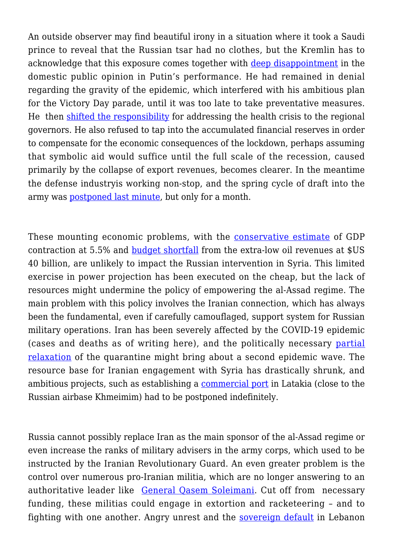An outside observer may find beautiful irony in a situation where it took a Saudi prince to reveal that the Russian tsar had no clothes, but the Kremlin has to acknowledge that this exposure comes together with [deep disappointment](https://carnegie.ru/commentary/81485) in the domestic public opinion in Putin's performance. He had remained in denial regarding the gravity of the epidemic, which interfered with his ambitious plan for the Victory Day parade, until it was too late to take preventative measures. He then [shifted the responsibility](https://jamestown.org/program/facing-grave-emergency-putin-dodges-responsibility/) for addressing the health crisis to the regional governors. He also refused to tap into the accumulated financial reserves in order to compensate for the economic consequences of the lockdown, perhaps assuming that symbolic aid would suffice until the full scale of the recession, caused primarily by the collapse of export revenues, becomes clearer. In the meantime the defense industryis working non-stop, and the spring cycle of draft into the army was [postponed last minute,](https://www.janes.com/article/95056/covid-19-russian-mod-details-efforts-to-fight-virus) but only for a month.

These mounting economic problems, with the [conservative estimate](https://blogs.imf.org/2020/04/14/the-great-lockdown-worst-economic-downturn-since-the-great-depression/) of GDP contraction at 5.5% and [budget shortfall](https://www.bloomberg.com/news/articles/2020-04-02/russia-said-to-plan-for-oil-at-20-this-year-more-debt-sales) from the extra-low oil revenues at \$US 40 billion, are unlikely to impact the Russian intervention in Syria. This limited exercise in power projection has been executed on the cheap, but the lack of resources might undermine the policy of empowering the al-Assad regime. The main problem with this policy involves the Iranian connection, which has always been the fundamental, even if carefully camouflaged, support system for Russian military operations. Iran has been severely affected by the COVID-19 epidemic (cases and deaths as of writing here), and the politically necessary [partial](https://www.al-monitor.com/pulse/originals/2020/04/coronavirus-iran-hotspots-partial-reopening.html) [relaxation](https://www.al-monitor.com/pulse/originals/2020/04/coronavirus-iran-hotspots-partial-reopening.html) of the quarantine might bring about a second epidemic wave. The resource base for Iranian engagement with Syria has drastically shrunk, and ambitious projects, such as establishing a [commercial port](https://www.thetimes.co.uk/article/alarm-in-israel-as-iran-plans-takeover-of-key-latakia-port-7zt0jvcvt) in Latakia (close to the Russian airbase Khmeimim) had to be postponed indefinitely.

Russia cannot possibly replace Iran as the main sponsor of the al-Assad regime or even increase the ranks of military advisers in the army corps, which used to be instructed by the Iranian Revolutionary Guard. An even greater problem is the control over numerous pro-Iranian militia, which are no longer answering to an authoritative leader like [General Qasem Soleimani.](https://www.mei.edu/publications/qassem-soleimanis-reign-may-be-over-his-legacy-syria-will-endure) Cut off from necessary funding, these militias could engage in extortion and racketeering – and to fighting with one another. Angry unrest and the [sovereign default](https://www.economist.com/middle-east-and-africa/2020/03/12/for-the-first-time-lebanon-defaults-on-its-debts) in Lebanon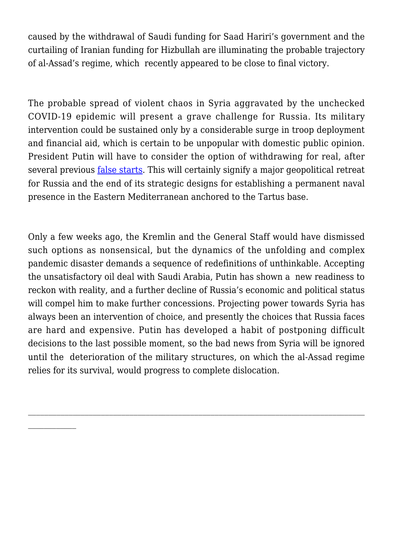caused by the withdrawal of Saudi funding for Saad Hariri's government and the curtailing of Iranian funding for Hizbullah are illuminating the probable trajectory of al-Assad's regime, which recently appeared to be close to final victory.

The probable spread of violent chaos in Syria aggravated by the unchecked COVID-19 epidemic will present a grave challenge for Russia. Its military intervention could be sustained only by a considerable surge in troop deployment and financial aid, which is certain to be unpopular with domestic public opinion. President Putin will have to consider the option of withdrawing for real, after several previous *[false starts](https://www.bbc.com/news/world-middle-east-42307365)*. This will certainly signify a major geopolitical retreat for Russia and the end of its strategic designs for establishing a permanent naval presence in the Eastern Mediterranean anchored to the Tartus base.

Only a few weeks ago, the Kremlin and the General Staff would have dismissed such options as nonsensical, but the dynamics of the unfolding and complex pandemic disaster demands a sequence of redefinitions of unthinkable. Accepting the unsatisfactory oil deal with Saudi Arabia, Putin has shown a new readiness to reckon with reality, and a further decline of Russia's economic and political status will compel him to make further concessions. Projecting power towards Syria has always been an intervention of choice, and presently the choices that Russia faces are hard and expensive. Putin has developed a habit of postponing difficult decisions to the last possible moment, so the bad news from Syria will be ignored until the deterioration of the military structures, on which the al-Assad regime relies for its survival, would progress to complete dislocation.